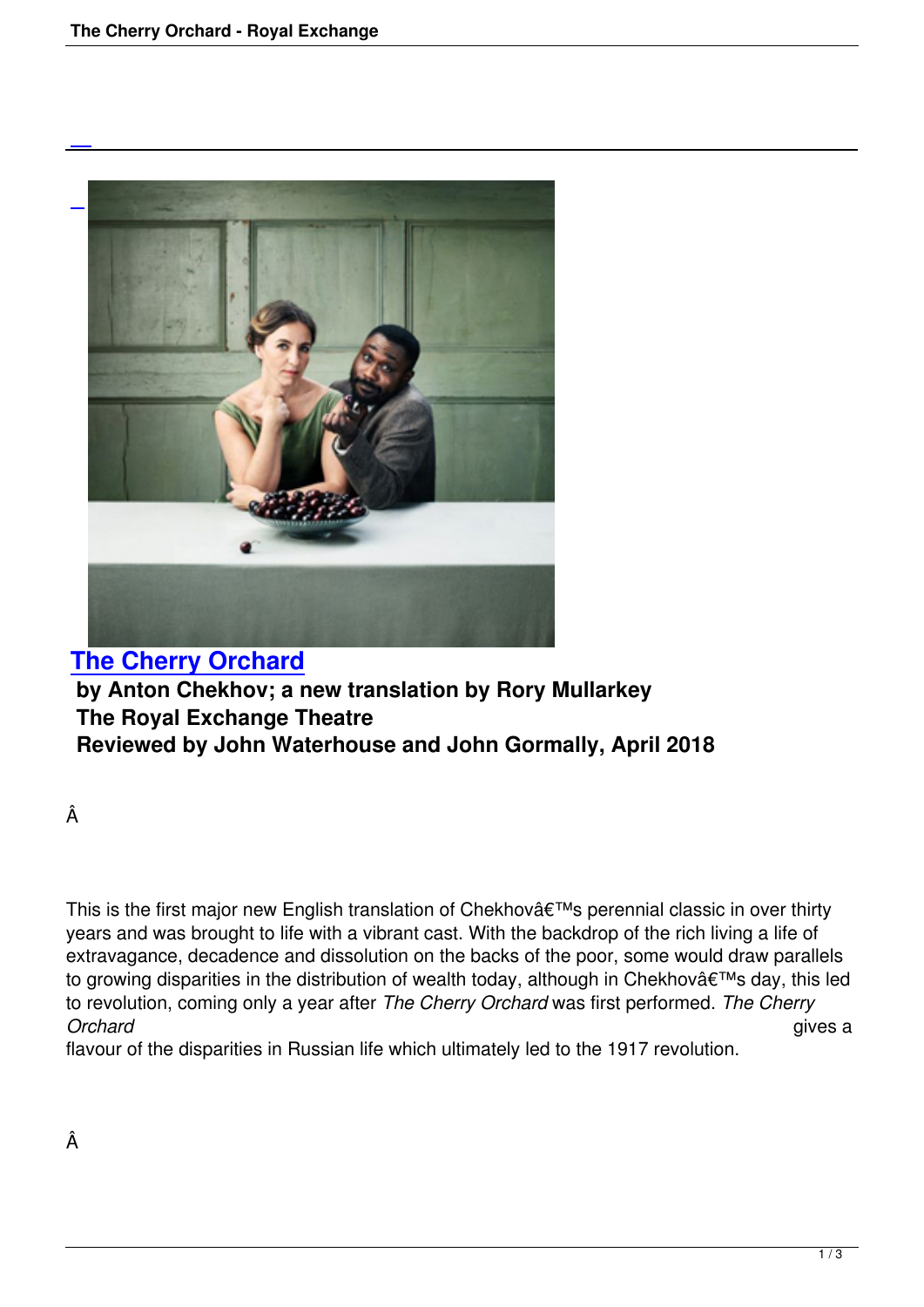

**The Cherry Orchard by Anton Chekhov; a new translation by Rory Mullarkey The Royal Exchange Theatre [Reviewed by John Wat](the-cherry-orchard-royal-exchange.html)erhouse and John Gormally, April 2018**

Â

This is the first major new English translation of Chekhov $\hat{a} \in \mathbb{M}$ s perennial classic in over thirty years and was brought to life with a vibrant cast. With the backdrop of the rich living a life of extravagance, decadence and dissolution on the backs of the poor, some would draw parallels to growing disparities in the distribution of wealth today, although in Chekhov $\hat{a} \in \mathbb{M}$ s day, this led to revolution, coming only a year after *The Cherry Orchard* was first performed. *The Cherry Orchard* gives a

flavour of the disparities in Russian life which ultimately led to the 1917 revolution.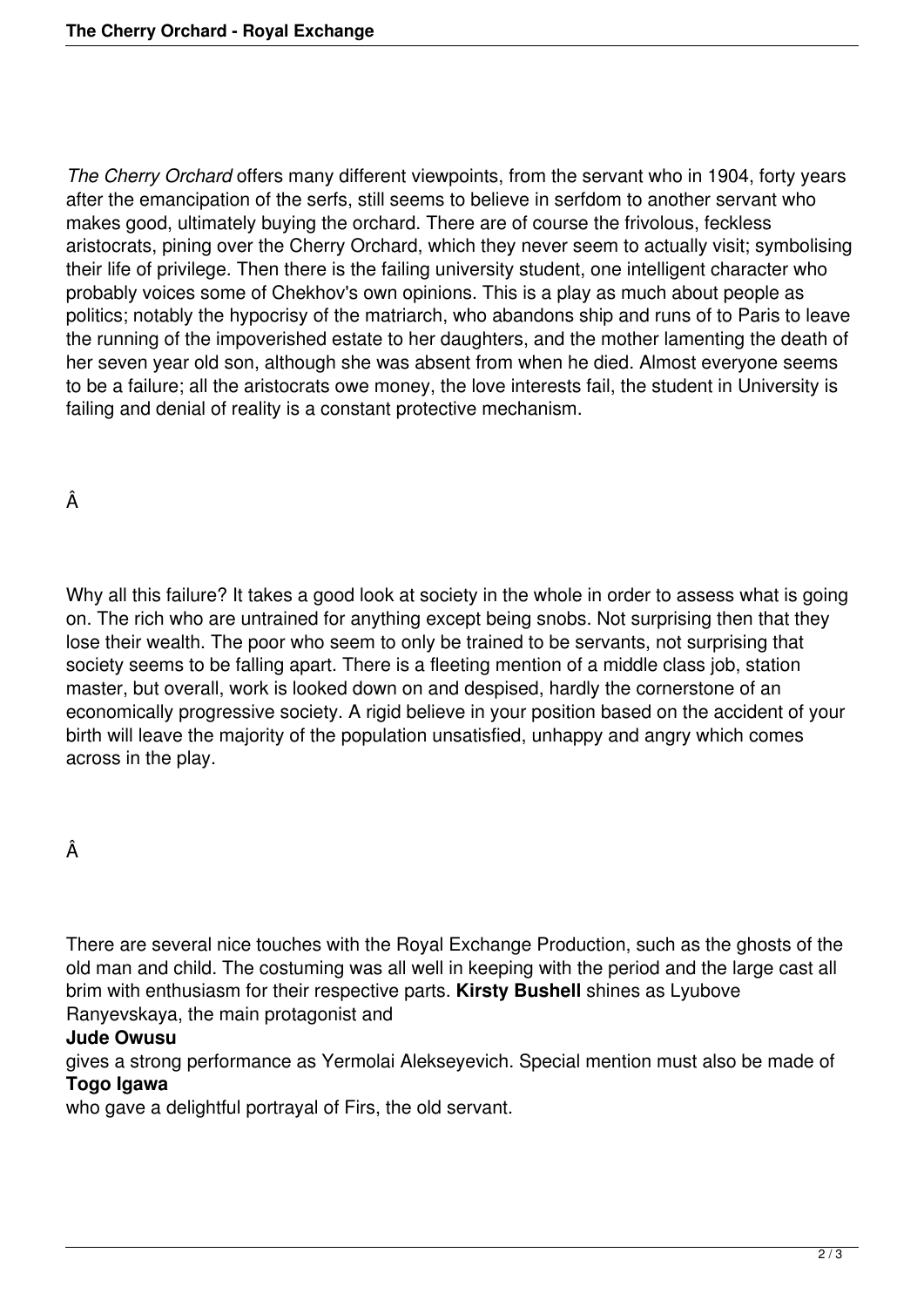*The Cherry Orchard* offers many different viewpoints, from the servant who in 1904, forty years after the emancipation of the serfs, still seems to believe in serfdom to another servant who makes good, ultimately buying the orchard. There are of course the frivolous, feckless aristocrats, pining over the Cherry Orchard, which they never seem to actually visit; symbolising their life of privilege. Then there is the failing university student, one intelligent character who probably voices some of Chekhov's own opinions. This is a play as much about people as politics; notably the hypocrisy of the matriarch, who abandons ship and runs of to Paris to leave the running of the impoverished estate to her daughters, and the mother lamenting the death of her seven year old son, although she was absent from when he died. Almost everyone seems to be a failure; all the aristocrats owe money, the love interests fail, the student in University is failing and denial of reality is a constant protective mechanism.

Â

Why all this failure? It takes a good look at society in the whole in order to assess what is going on. The rich who are untrained for anything except being snobs. Not surprising then that they lose their wealth. The poor who seem to only be trained to be servants, not surprising that society seems to be falling apart. There is a fleeting mention of a middle class job, station master, but overall, work is looked down on and despised, hardly the cornerstone of an economically progressive society. A rigid believe in your position based on the accident of your birth will leave the majority of the population unsatisfied, unhappy and angry which comes across in the play.

## Â

There are several nice touches with the Royal Exchange Production, such as the ghosts of the old man and child. The costuming was all well in keeping with the period and the large cast all brim with enthusiasm for their respective parts. **Kirsty Bushell** shines as Lyubove Ranyevskaya, the main protagonist and

## **Jude Owusu**

gives a strong performance as Yermolai Alekseyevich. Special mention must also be made of **Togo Igawa**

who gave a delightful portrayal of Firs, the old servant.